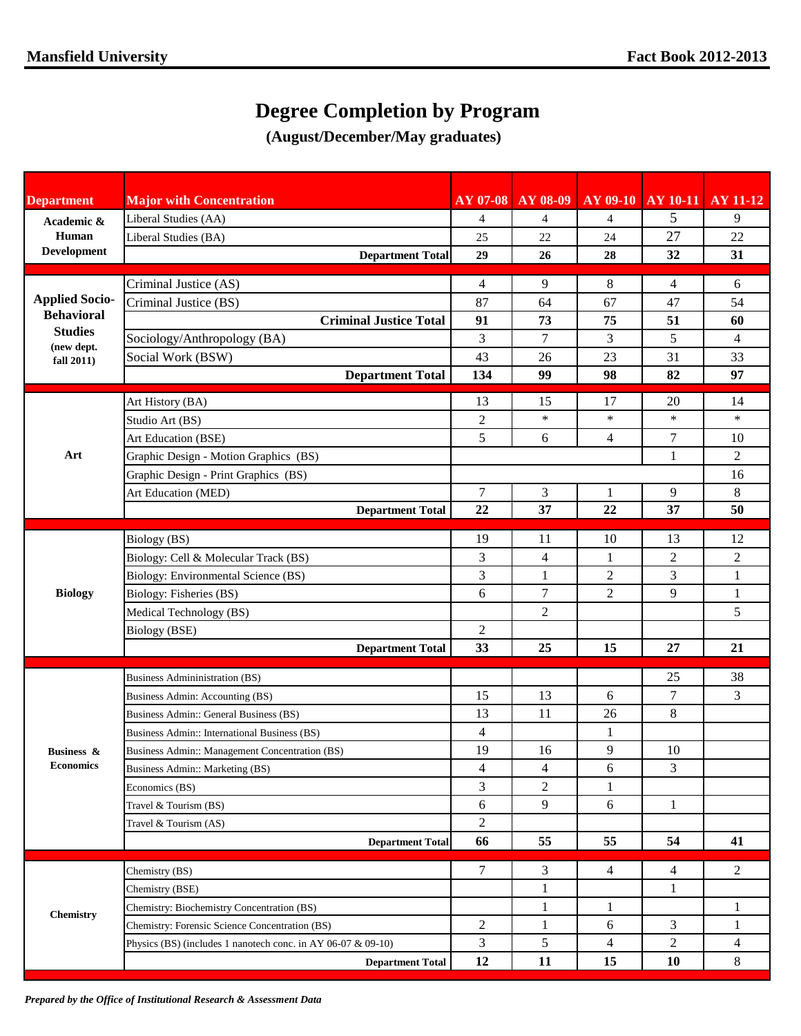## **Degree Completion by Program**

**(August/December/May graduates)**

| <b>Department</b>                          | <b>Major with Concentration</b>                              | AY 07-08             | AY 08-09         |                | AY 09-10 AY 10-11 | <b>AY 11-12</b> |
|--------------------------------------------|--------------------------------------------------------------|----------------------|------------------|----------------|-------------------|-----------------|
| Academic &<br>Human<br><b>Development</b>  | Liberal Studies (AA)                                         | 4                    | 4                | 4              | 5                 | 9               |
|                                            | Liberal Studies (BA)                                         | 25                   | 22               | 24             | 27                | 22              |
|                                            | <b>Department Total</b>                                      | 29                   | 26               | 28             | 32                | 31              |
| <b>Applied Socio-</b>                      | Criminal Justice (AS)                                        | 4                    | 9                | 8              | 4                 | 6               |
|                                            | Criminal Justice (BS)                                        | 87                   | 64               | 67             | 47                | 54              |
| <b>Behavioral</b>                          | <b>Criminal Justice Total</b>                                | 91                   | 73               | 75             | 51                | 60              |
| <b>Studies</b><br>(new dept.<br>fall 2011) | Sociology/Anthropology (BA)                                  | 3                    | 7                | 3              | 5                 | $\overline{4}$  |
|                                            | Social Work (BSW)                                            | 43                   | 26               | 23             | 31                | 33              |
|                                            | <b>Department Total</b>                                      | 134                  | 99               | 98             | 82                | 97              |
|                                            | Art History (BA)                                             | 13                   | 15               | 17             | 20                | 14              |
|                                            | Studio Art (BS)                                              | $\overline{2}$       | $\ast$           | $\ast$         | $\ast$            | $\ast$          |
|                                            | Art Education (BSE)                                          | 5                    | 6                | $\overline{4}$ | 7                 | 10              |
| Art                                        | Graphic Design - Motion Graphics (BS)                        |                      |                  |                | $\mathbf{1}$      | $\overline{2}$  |
|                                            | Graphic Design - Print Graphics (BS)                         |                      |                  |                |                   | 16              |
|                                            | Art Education (MED)                                          | $\overline{7}$       | 3                | 1              | 9                 | $\,8\,$         |
|                                            | <b>Department Total</b>                                      | 22                   | 37               | 22             | 37                | 50              |
|                                            | Biology (BS)                                                 | 19                   | 11               | 10             | 13                | 12              |
|                                            | Biology: Cell & Molecular Track (BS)                         | 3                    | $\overline{4}$   | 1              | $\overline{c}$    | $\overline{2}$  |
|                                            | Biology: Environmental Science (BS)                          | 3                    | 1                | $\overline{2}$ | 3                 | 1               |
| <b>Biology</b>                             | Biology: Fisheries (BS)                                      | 6                    | $\tau$           | $\overline{2}$ | 9                 | 1               |
|                                            | Medical Technology (BS)                                      |                      | $\boldsymbol{2}$ |                |                   | 5               |
|                                            | Biology (BSE)                                                | 2                    |                  |                |                   |                 |
|                                            | <b>Department Total</b>                                      | 33                   | 25               | 15             | 27                | 21              |
|                                            |                                                              |                      |                  |                |                   |                 |
|                                            | <b>Business Admininistration (BS)</b>                        |                      |                  |                | 25                | 38              |
|                                            | Business Admin: Accounting (BS)                              | 15                   | 13               | 6              | 7<br>$8\,$        | 3               |
|                                            | Business Admin:: General Business (BS)                       | 13                   | 11               | 26<br>1        |                   |                 |
| <b>Business &amp;</b><br><b>Economics</b>  | Business Admin:: International Business (BS)                 | $\overline{4}$<br>19 | 16               | 9              | 10                |                 |
|                                            | Business Admin:: Management Concentration (BS)               | 4                    | 4                | 6              | 3                 |                 |
|                                            | Business Admin:: Marketing (BS)<br>Economics (BS)            | 3                    | 2                | 1              |                   |                 |
|                                            | Travel & Tourism (BS)                                        | 6                    | 9                | $6\,$          | $\mathbf{1}$      |                 |
|                                            | Travel & Tourism (AS)                                        | $\overline{2}$       |                  |                |                   |                 |
|                                            | <b>Department Total</b>                                      | 66                   | 55               | 55             | 54                | 41              |
|                                            |                                                              |                      |                  |                |                   |                 |
|                                            | Chemistry (BS)                                               | $\tau$               | 3                | $\overline{4}$ | 4                 | $\overline{2}$  |
| Chemistry                                  | Chemistry (BSE)                                              |                      | $\mathbf{1}$     |                | 1                 |                 |
|                                            | Chemistry: Biochemistry Concentration (BS)                   |                      | $\mathbf{1}$     | $\mathbf{1}$   |                   | 1               |
|                                            | Chemistry: Forensic Science Concentration (BS)               | $\overline{2}$       | $\mathbf{1}$     | 6              | 3                 | $\mathbf{1}$    |
|                                            | Physics (BS) (includes 1 nanotech conc. in AY 06-07 & 09-10) | 3                    | $5\,$            | $\overline{4}$ | $\overline{c}$    | $\overline{4}$  |
|                                            | <b>Department Total</b>                                      | 12                   | 11               | 15             | 10                | $\,8\,$         |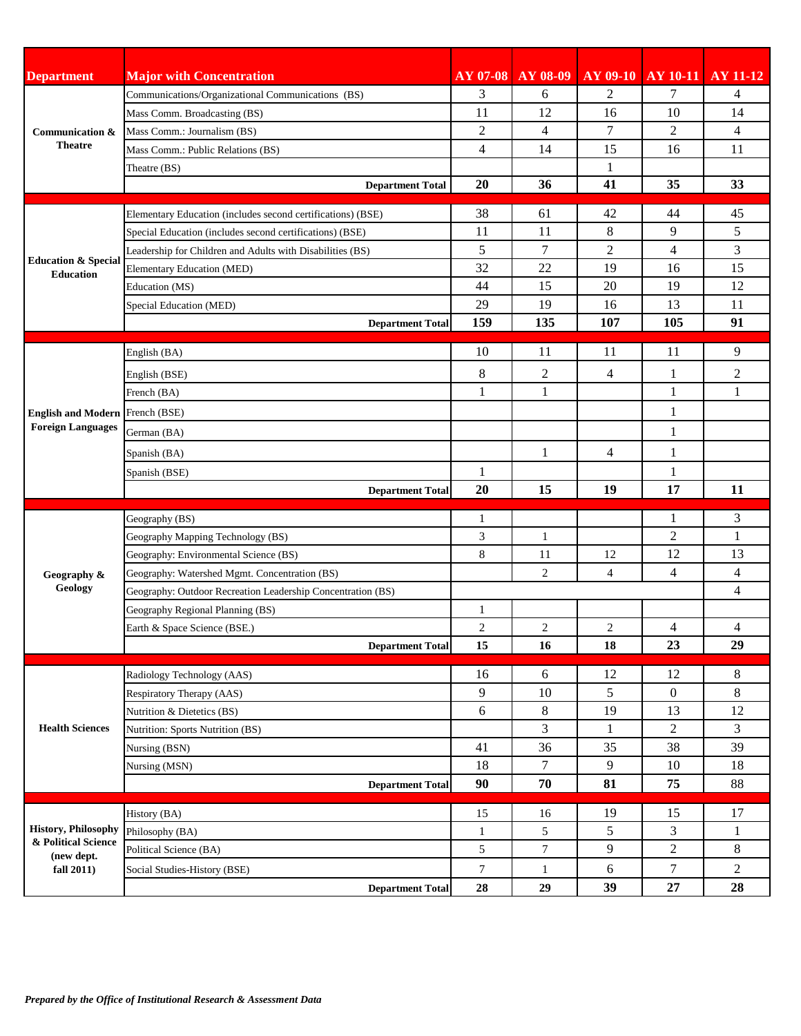| <b>Department</b>              | <b>Major</b> with Concentration                                  | $AY$ 07-08     | <b>AY 08-09</b>    | <b>AY 09-10 AY 10-11</b> |                  | <b>AY 11-12</b>      |
|--------------------------------|------------------------------------------------------------------|----------------|--------------------|--------------------------|------------------|----------------------|
|                                | Communications/Organizational Communications (BS)                | 3              | 6                  | 2                        | 7                | 4                    |
|                                | Mass Comm. Broadcasting (BS)                                     | 11             | 12                 | 16                       | 10               | 14                   |
| Communication &                | Mass Comm.: Journalism (BS)                                      | $\overline{2}$ | 4                  | 7                        | $\overline{2}$   | 4                    |
| <b>Theatre</b>                 | Mass Comm.: Public Relations (BS)                                | 4              | 14                 | 15                       | 16               | 11                   |
|                                | Theatre (BS)                                                     |                |                    | 1                        |                  |                      |
|                                | <b>Department Total</b>                                          | <b>20</b>      | 36                 | 41                       | 35               | 33                   |
|                                | Elementary Education (includes second certifications) (BSE)      | 38             | 61                 | 42                       | 44               | 45                   |
|                                | Special Education (includes second certifications) (BSE)         | 11             | 11                 | 8                        | 9                | 5                    |
|                                | Leadership for Children and Adults with Disabilities (BS)        | 5              | 7                  | $\overline{2}$           | $\overline{4}$   | 3                    |
| <b>Education &amp; Special</b> | Elementary Education (MED)                                       | 32             | 22                 | 19                       | 16               | 15                   |
| <b>Education</b>               | Education (MS)                                                   | 44             | 15                 | 20                       | 19               | 12                   |
|                                | Special Education (MED)                                          | 29             | 19                 | 16                       | 13               | 11                   |
|                                | <b>Department Total</b>                                          | 159            | 135                | 107                      | 105              | 91                   |
|                                |                                                                  |                |                    |                          |                  |                      |
|                                | English (BA)                                                     | 10             | 11                 | 11                       | 11               | 9                    |
|                                | English (BSE)                                                    | 8              | 2                  | 4                        | 1                | 2                    |
|                                | French (BA)                                                      | 1              | 1                  |                          | 1                | 1                    |
| <b>English and Modern</b>      | French (BSE)                                                     |                |                    |                          | 1                |                      |
| <b>Foreign Languages</b>       | German (BA)                                                      |                |                    |                          | 1                |                      |
|                                | Spanish (BA)                                                     |                | $\mathbf{1}$       | 4                        | 1                |                      |
|                                | Spanish (BSE)                                                    | 1              |                    |                          | 1                |                      |
|                                | <b>Department Total</b>                                          | 20             | 15                 | 19                       | 17               | 11                   |
|                                |                                                                  |                |                    |                          |                  |                      |
|                                | Geography (BS)                                                   | $\mathbf{1}$   |                    |                          | 1                | 3                    |
|                                | Geography Mapping Technology (BS)                                | 3              | 1                  |                          | $\overline{2}$   | $\mathbf{1}$         |
|                                | Geography: Environmental Science (BS)                            | 8              | 11                 | 12                       | 12               | 13                   |
| Geography &<br>Geology         | Geography: Watershed Mgmt. Concentration (BS)                    |                | 2                  | 4                        | $\overline{4}$   | 4                    |
|                                | Geography: Outdoor Recreation Leadership Concentration (BS)      |                |                    |                          |                  | 4                    |
|                                | Geography Regional Planning (BS)<br>Earth & Space Science (BSE.) | 1              |                    |                          |                  | 4                    |
|                                |                                                                  |                |                    |                          |                  |                      |
|                                |                                                                  | 2              | $\overline{c}$     | $\overline{c}$           | 4                |                      |
|                                | <b>Department Total</b>                                          | 15             | 16                 | 18                       | 23               | 29                   |
|                                | Radiology Technology (AAS)                                       | 16             | 6                  | 12                       | 12               | 8                    |
|                                | Respiratory Therapy (AAS)                                        | 9              | 10                 | 5                        | $\boldsymbol{0}$ | $8\,$                |
|                                | Nutrition & Dietetics (BS)                                       | 6              | 8                  | 19                       | 13               | 12                   |
| <b>Health Sciences</b>         | Nutrition: Sports Nutrition (BS)                                 |                | 3                  | 1                        | $\overline{2}$   | 3                    |
|                                | Nursing (BSN)                                                    | 41             | 36                 | 35                       | 38               | 39                   |
|                                | Nursing (MSN)                                                    | 18             | 7                  | 9                        | 10               | 18                   |
|                                | <b>Department Total</b>                                          | 90             | 70                 | 81                       | 75               | 88                   |
|                                |                                                                  |                |                    |                          |                  |                      |
| <b>History, Philosophy</b>     | History (BA)                                                     | 15             | 16                 | 19                       | 15               | 17                   |
| & Political Science            | Philosophy (BA)                                                  | $\mathbf{1}$   | 5                  | 5                        | $\overline{3}$   | $\mathbf{1}$         |
| (new dept.                     | Political Science (BA)                                           | 5              | $\boldsymbol{7}$   | 9                        | $\overline{2}$   | $8\,$                |
| fall 2011)                     | Social Studies-History (BSE)<br><b>Department Total</b>          | 7<br>28        | $\mathbf{1}$<br>29 | $\sqrt{6}$<br>39         | $\tau$<br>27     | $\overline{2}$<br>28 |